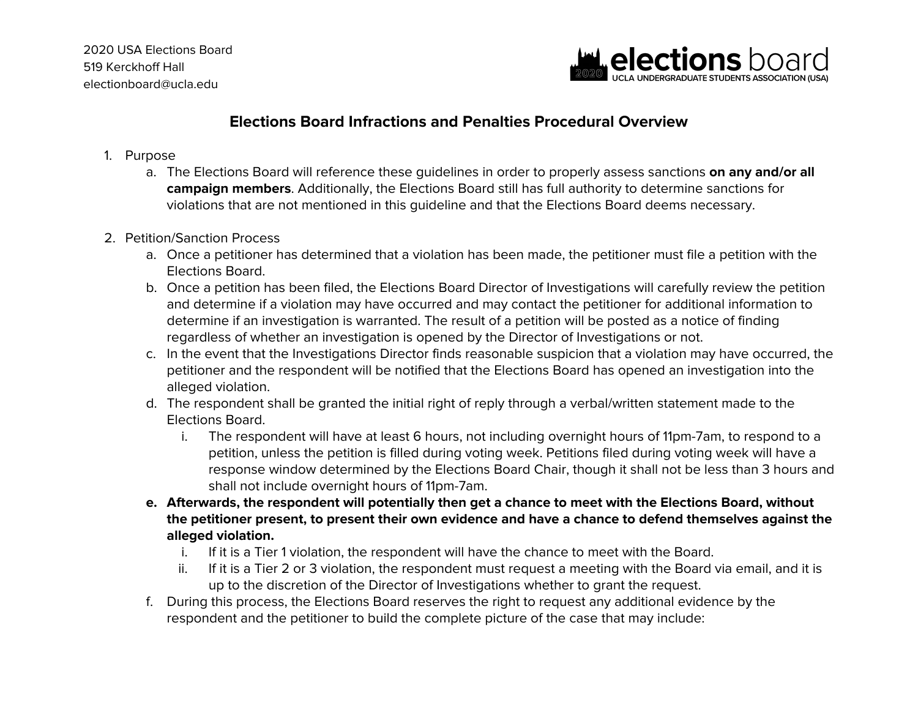

### **Elections Board Infractions and Penalties Procedural Overview**

- 1. Purpose
	- a. The Elections Board will reference these guidelines in order to properly assess sanctions **on any and/or all campaign members**. Additionally, the Elections Board still has full authority to determine sanctions for violations that are not mentioned in this guideline and that the Elections Board deems necessary.
- 2. Petition/Sanction Process
	- a. Once a petitioner has determined that a violation has been made, the petitioner must file a petition with the Elections Board.
	- b. Once a petition has been filed, the Elections Board Director of Investigations will carefully review the petition and determine if a violation may have occurred and may contact the petitioner for additional information to determine if an investigation is warranted. The result of a petition will be posted as a notice of finding regardless of whether an investigation is opened by the Director of Investigations or not.
	- c. In the event that the Investigations Director finds reasonable suspicion that a violation may have occurred, the petitioner and the respondent will be notified that the Elections Board has opened an investigation into the alleged violation.
	- d. The respondent shall be granted the initial right of reply through a verbal/written statement made to the Elections Board.
		- i. The respondent will have at least 6 hours, not including overnight hours of 11pm-7am, to respond to a petition, unless the petition is filled during voting week. Petitions filed during voting week will have a response window determined by the Elections Board Chair, though it shall not be less than 3 hours and shall not include overnight hours of 11pm-7am.
	- e. Afterwards, the respondent will potentially then get a chance to meet with the Elections Board, without **the petitioner present, to present their own evidence and have a chance to defend themselves against the alleged violation.**
		- i. If it is a Tier 1 violation, the respondent will have the chance to meet with the Board.
		- ii. If it is a Tier 2 or 3 violation, the respondent must request a meeting with the Board via email, and it is up to the discretion of the Director of Investigations whether to grant the request.
	- f. During this process, the Elections Board reserves the right to request any additional evidence by the respondent and the petitioner to build the complete picture of the case that may include: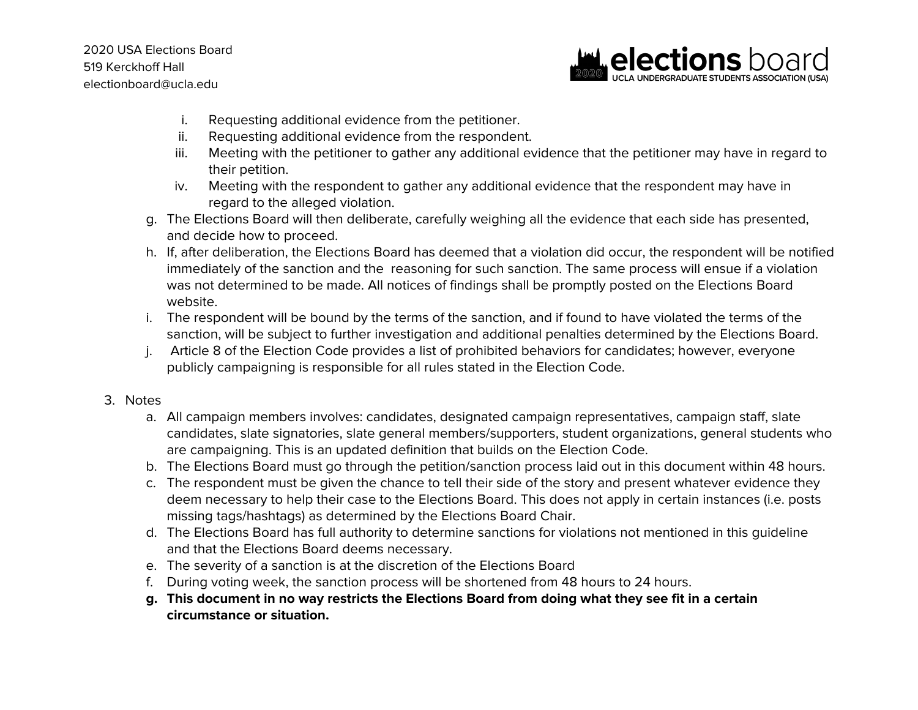2020 USA Elections Board 519 Kerckhoff Hall electionboard@ucla.edu



- i. Requesting additional evidence from the petitioner.
- ii. Requesting additional evidence from the respondent.
- iii. Meeting with the petitioner to gather any additional evidence that the petitioner may have in regard to their petition.
- iv. Meeting with the respondent to gather any additional evidence that the respondent may have in regard to the alleged violation.
- g. The Elections Board will then deliberate, carefully weighing all the evidence that each side has presented, and decide how to proceed.
- h. If, after deliberation, the Elections Board has deemed that a violation did occur, the respondent will be notified immediately of the sanction and the reasoning for such sanction. The same process will ensue if a violation was not determined to be made. All notices of findings shall be promptly posted on the Elections Board website.
- i. The respondent will be bound by the terms of the sanction, and if found to have violated the terms of the sanction, will be subject to further investigation and additional penalties determined by the Elections Board.
- j. Article 8 of the Election Code provides a list of prohibited behaviors for candidates; however, everyone publicly campaigning is responsible for all rules stated in the Election Code.

#### 3. Notes

- a. All campaign members involves: candidates, designated campaign representatives, campaign staff, slate candidates, slate signatories, slate general members/supporters, student organizations, general students who are campaigning. This is an updated definition that builds on the Election Code.
- b. The Elections Board must go through the petition/sanction process laid out in this document within 48 hours.
- c. The respondent must be given the chance to tell their side of the story and present whatever evidence they deem necessary to help their case to the Elections Board. This does not apply in certain instances (i.e. posts missing tags/hashtags) as determined by the Elections Board Chair.
- d. The Elections Board has full authority to determine sanctions for violations not mentioned in this guideline and that the Elections Board deems necessary.
- e. The severity of a sanction is at the discretion of the Elections Board
- f. During voting week, the sanction process will be shortened from 48 hours to 24 hours.
- g. This document in no way restricts the Elections Board from doing what they see fit in a certain **circumstance or situation.**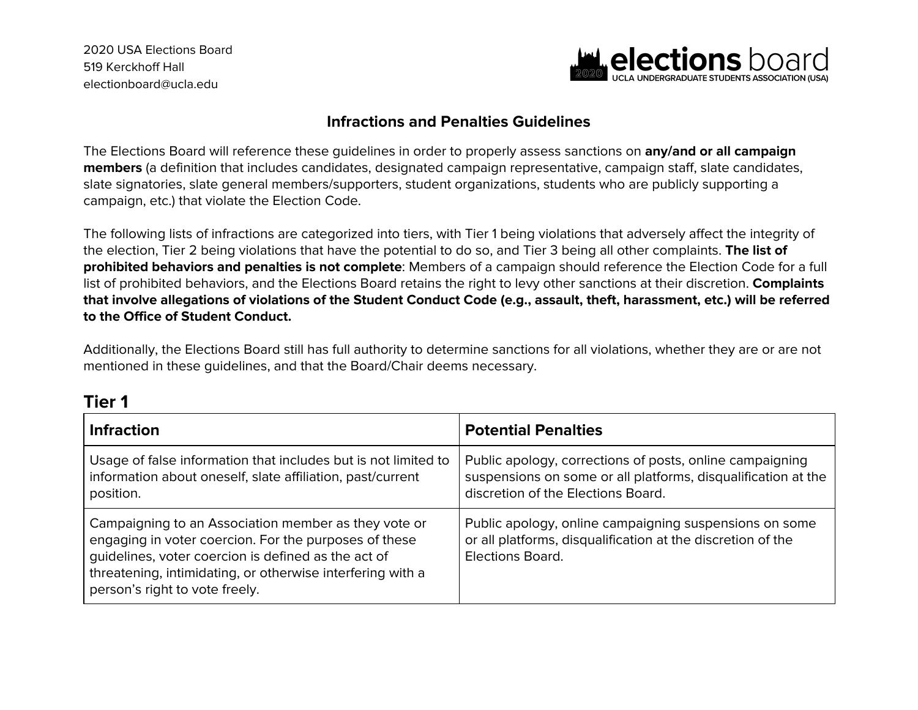2020 USA Elections Board 519 Kerckhoff Hall electionboard@ucla.edu



#### **Infractions and Penalties Guidelines**

The Elections Board will reference these guidelines in order to properly assess sanctions on **any/and or all campaign members** (a definition that includes candidates, designated campaign representative, campaign staff, slate candidates, slate signatories, slate general members/supporters, student organizations, students who are publicly supporting a campaign, etc.) that violate the Election Code.

The following lists of infractions are categorized into tiers, with Tier 1 being violations that adversely affect the integrity of the election, Tier 2 being violations that have the potential to do so, and Tier 3 being all other complaints. **The list of prohibited behaviors and penalties is not complete**: Members of a campaign should reference the Election Code for a full list of prohibited behaviors, and the Elections Board retains the right to levy other sanctions at their discretion. **Complaints** that involve allegations of violations of the Student Conduct Code (e.g., assault, theft, harassment, etc.) will be referred **to the Office of Student Conduct.**

Additionally, the Elections Board still has full authority to determine sanctions for all violations, whether they are or are not mentioned in these guidelines, and that the Board/Chair deems necessary.

| <b>Infraction</b>                                                                                                                                                                                                                                                    | <b>Potential Penalties</b>                                                                                                                                      |
|----------------------------------------------------------------------------------------------------------------------------------------------------------------------------------------------------------------------------------------------------------------------|-----------------------------------------------------------------------------------------------------------------------------------------------------------------|
| Usage of false information that includes but is not limited to<br>information about oneself, slate affiliation, past/current<br>position.                                                                                                                            | Public apology, corrections of posts, online campaigning<br>suspensions on some or all platforms, disqualification at the<br>discretion of the Elections Board. |
| Campaigning to an Association member as they vote or<br>engaging in voter coercion. For the purposes of these<br>guidelines, voter coercion is defined as the act of<br>threatening, intimidating, or otherwise interfering with a<br>person's right to vote freely. | Public apology, online campaigning suspensions on some<br>or all platforms, disqualification at the discretion of the<br><b>Elections Board.</b>                |

## **Tier 1**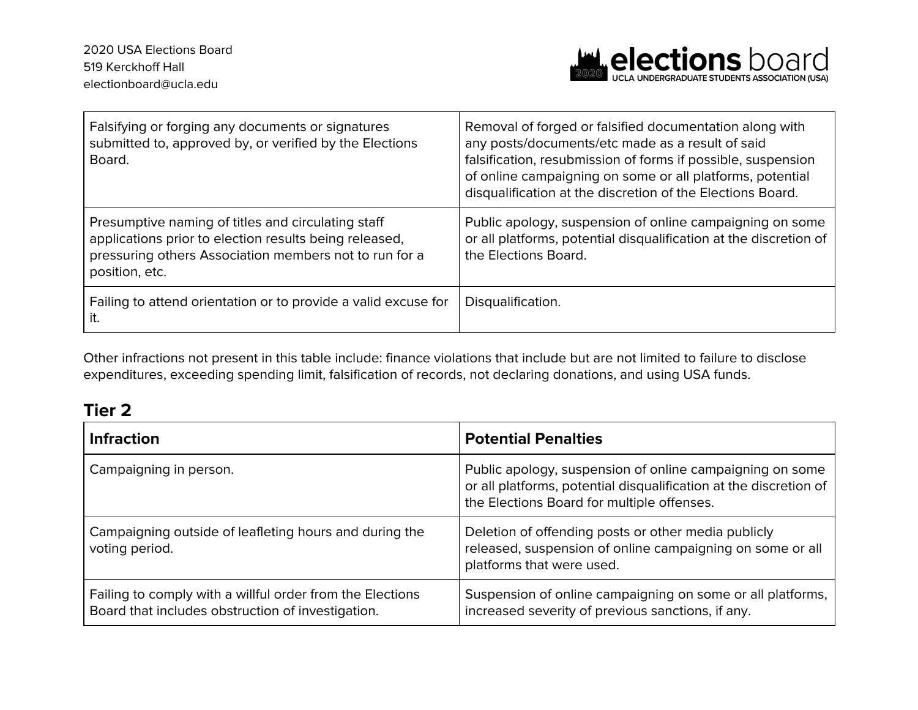

| Falsifying or forging any documents or signatures<br>submitted to, approved by, or verified by the Elections<br>Board.                                                                   | Removal of forged or falsified documentation along with<br>any posts/documents/etc made as a result of said<br>falsification, resubmission of forms if possible, suspension<br>of online campaigning on some or all platforms, potential<br>disqualification at the discretion of the Elections Board. |
|------------------------------------------------------------------------------------------------------------------------------------------------------------------------------------------|--------------------------------------------------------------------------------------------------------------------------------------------------------------------------------------------------------------------------------------------------------------------------------------------------------|
| Presumptive naming of titles and circulating staff<br>applications prior to election results being released,<br>pressuring others Association members not to run for a<br>position, etc. | Public apology, suspension of online campaigning on some<br>or all platforms, potential disqualification at the discretion of<br>the Elections Board.                                                                                                                                                  |
| Failing to attend orientation or to provide a valid excuse for<br>it.                                                                                                                    | Disqualification.                                                                                                                                                                                                                                                                                      |

Other infractions not present in this table include: finance violations that include but are not limited to failure to disclose expenditures, exceeding spending limit, falsification of records, not declaring donations, and using USA funds.

# **Tier 2**

| <b>Infraction</b>                                                                                              | <b>Potential Penalties</b>                                                                                                                                                  |
|----------------------------------------------------------------------------------------------------------------|-----------------------------------------------------------------------------------------------------------------------------------------------------------------------------|
| Campaigning in person.                                                                                         | Public apology, suspension of online campaigning on some<br>or all platforms, potential disqualification at the discretion of<br>the Elections Board for multiple offenses. |
| Campaigning outside of leafleting hours and during the<br>voting period.                                       | Deletion of offending posts or other media publicly<br>released, suspension of online campaigning on some or all<br>platforms that were used.                               |
| Failing to comply with a willful order from the Elections<br>Board that includes obstruction of investigation. | Suspension of online campaigning on some or all platforms,<br>increased severity of previous sanctions, if any.                                                             |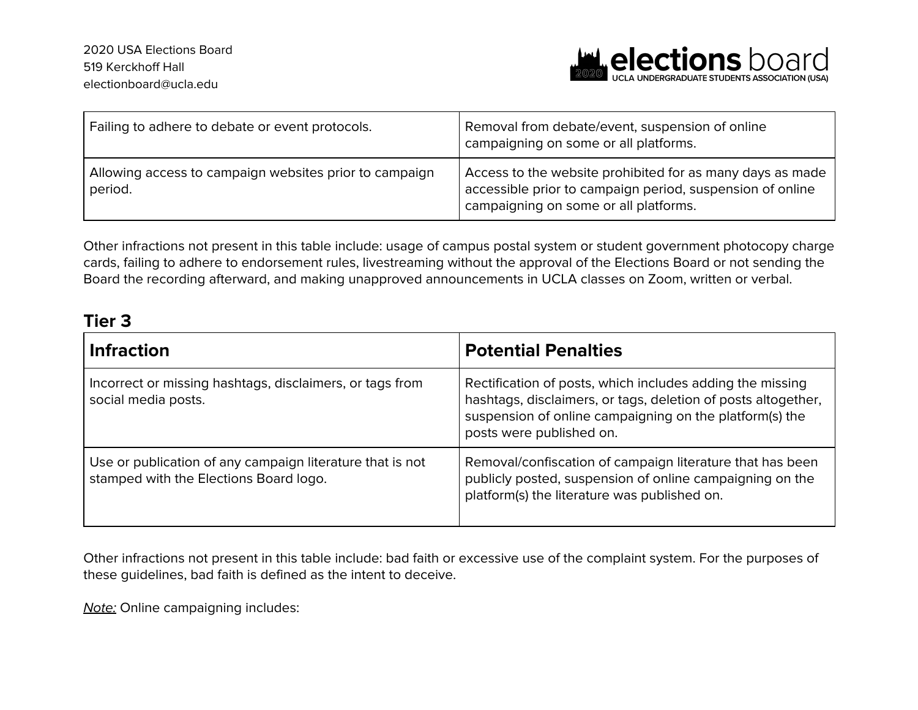

| Failing to adhere to debate or event protocols.                   | Removal from debate/event, suspension of online<br>campaigning on some or all platforms.                                                                        |
|-------------------------------------------------------------------|-----------------------------------------------------------------------------------------------------------------------------------------------------------------|
| Allowing access to campaign websites prior to campaign<br>period. | Access to the website prohibited for as many days as made<br>accessible prior to campaign period, suspension of online<br>campaigning on some or all platforms. |

Other infractions not present in this table include: usage of campus postal system or student government photocopy charge cards, failing to adhere to endorsement rules, livestreaming without the approval of the Elections Board or not sending the Board the recording afterward, and making unapproved announcements in UCLA classes on Zoom, written or verbal.

## **Tier 3**

| <b>Infraction</b>                                                                                   | <b>Potential Penalties</b>                                                                                                                                                                                        |
|-----------------------------------------------------------------------------------------------------|-------------------------------------------------------------------------------------------------------------------------------------------------------------------------------------------------------------------|
| Incorrect or missing hashtags, disclaimers, or tags from<br>social media posts.                     | Rectification of posts, which includes adding the missing<br>hashtags, disclaimers, or tags, deletion of posts altogether,<br>suspension of online campaigning on the platform(s) the<br>posts were published on. |
| Use or publication of any campaign literature that is not<br>stamped with the Elections Board logo. | Removal/confiscation of campaign literature that has been<br>publicly posted, suspension of online campaigning on the<br>platform(s) the literature was published on.                                             |

Other infractions not present in this table include: bad faith or excessive use of the complaint system. For the purposes of these guidelines, bad faith is defined as the intent to deceive.

**Note:** Online campaigning includes: